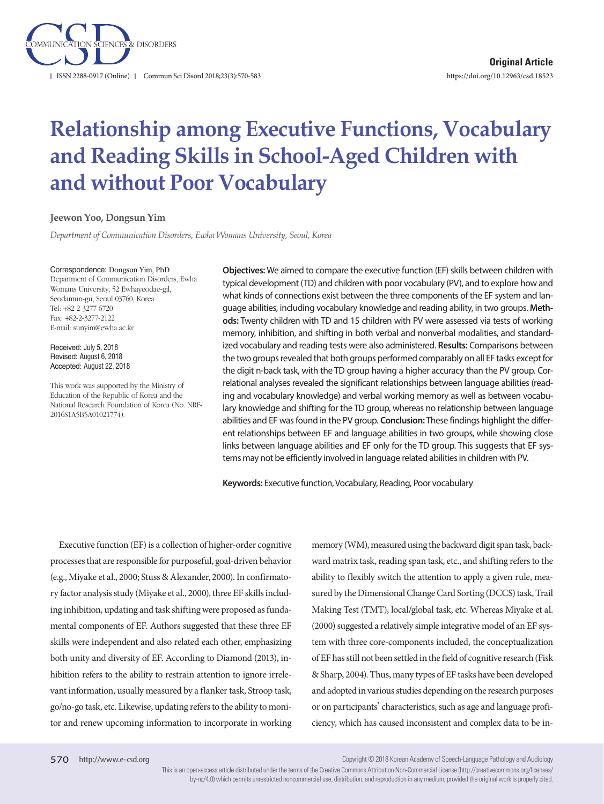

# **Relationship among Executive Functions, Vocabulary and Reading Skills in School-Aged Children with and without Poor Vocabulary**

#### **Jeewon Yoo, Dongsun Yim**

*Department of Communication Disorders, Ewha Womans University, Seoul, Korea*

#### Correspondence: Dongsun Yim, PhD

Department of Communication Disorders, Ewha Womans University, 52 Ewhayeodae-gil, Seodamun-gu, Seoul 03760, Korea Tel: +82-2-3277-6720 Fax: +82-2-3277-2122 E-mail: sunyim@ewha.ac.kr

Received: July 5, 2018 Revised: August 6, 2018 Accepted: August 22, 2018

This work was supported by the Ministry of Education of the Republic of Korea and the National Research Foundation of Korea (No. NRF-2016S1A5B5A01021774).

**Objectives:** We aimed to compare the executive function (EF) skills between children with typical development (TD) and children with poor vocabulary (PV), and to explore how and what kinds of connections exist between the three components of the EF system and language abilities, including vocabulary knowledge and reading ability, in two groups. **Methods:** Twenty children with TD and 15 children with PV were assessed via tests of working memory, inhibition, and shifting in both verbal and nonverbal modalities, and standardized vocabulary and reading tests were also administered. **Results:** Comparisons between the two groups revealed that both groups performed comparably on all EF tasks except for the digit n-back task, with the TD group having a higher accuracy than the PV group. Correlational analyses revealed the significant relationships between language abilities (reading and vocabulary knowledge) and verbal working memory as well as between vocabulary knowledge and shifting for the TD group, whereas no relationship between language abilities and EF was found in the PV group. **Conclusion:** These findings highlight the different relationships between EF and language abilities in two groups, while showing close links between language abilities and EF only for the TD group. This suggests that EF systems may not be efficiently involved in language related abilities in children with PV.

**Keywords:** Executive function, Vocabulary, Reading, Poor vocabulary

Executive function (EF) is a collection of higher-order cognitive processes that are responsible for purposeful, goal-driven behavior (e.g., Miyake et al., 2000; Stuss & Alexander, 2000). In confirmatory factor analysis study (Miyake et al., 2000), three EF skills including inhibition, updating and task shifting were proposed as fundamental components of EF. Authors suggested that these three EF skills were independent and also related each other, emphasizing both unity and diversity of EF. According to Diamond (2013), inhibition refers to the ability to restrain attention to ignore irrelevant information, usually measured by a flanker task, Stroop task, go/no-go task, etc. Likewise, updating refers to the ability to monitor and renew upcoming information to incorporate in working

memory (WM), measured using the backward digit span task, backward matrix task, reading span task, etc., and shifting refers to the ability to flexibly switch the attention to apply a given rule, measured by the Dimensional Change Card Sorting (DCCS) task, Trail Making Test (TMT), local/global task, etc. Whereas Miyake et al. (2000) suggested a relatively simple integrative model of an EF system with three core-components included, the conceptualization of EF has still not been settled in the field of cognitive research (Fisk & Sharp, 2004). Thus, many types of EF tasks have been developed and adopted in various studies depending on the research purposes or on participants' characteristics, such as age and language proficiency, which has caused inconsistent and complex data to be in-

Copyright © 2018 Korean Academy of Speech-Language Pathology and Audiology

This is an open-access article distributed under the terms of the Creative Commons Attribution Non-Commercial License (http://creativecommons.org/licenses/ by-nc/4.0) which permits unrestricted noncommercial use, distribution, and reproduction in any medium, provided the original work is properly cited.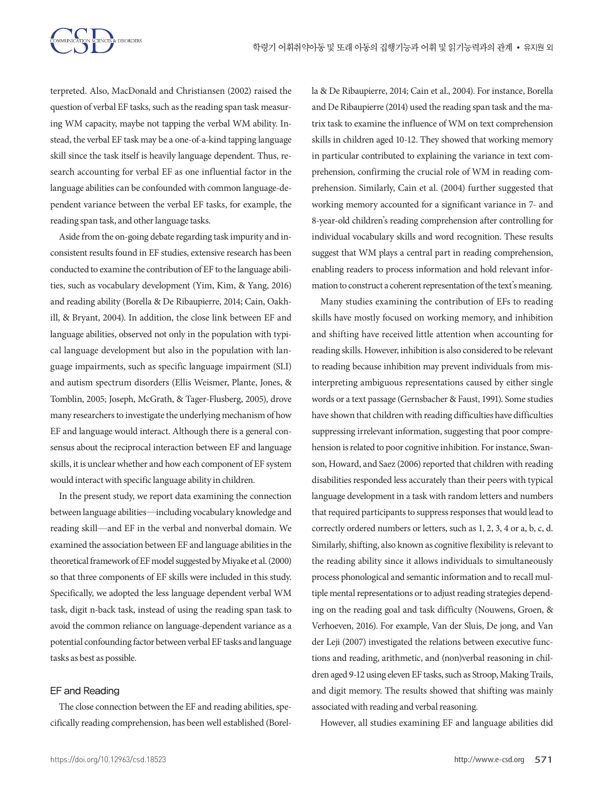

terpreted. Also, MacDonald and Christiansen (2002) raised the question of verbal EF tasks, such as the reading span task measuring WM capacity, maybe not tapping the verbal WM ability. Instead, the verbal EF task may be a one-of-a-kind tapping language skill since the task itself is heavily language dependent. Thus, research accounting for verbal EF as one influential factor in the language abilities can be confounded with common language-dependent variance between the verbal EF tasks, for example, the reading span task, and other language tasks.

Aside from the on-going debate regarding task impurity and inconsistent results found in EF studies, extensive research has been conducted to examine the contribution of EF to the language abilities, such as vocabulary development (Yim, Kim, & Yang, 2016) and reading ability (Borella & De Ribaupierre, 2014; Cain, Oakhill, & Bryant, 2004). In addition, the close link between EF and language abilities, observed not only in the population with typical language development but also in the population with language impairments, such as specific language impairment (SLI) and autism spectrum disorders (Ellis Weismer, Plante, Jones, & Tomblin, 2005; Joseph, McGrath, & Tager-Flusberg, 2005), drove many researchers to investigate the underlying mechanism of how EF and language would interact. Although there is a general consensus about the reciprocal interaction between EF and language skills, it is unclear whether and how each component of EF system would interact with specific language ability in children.

In the present study, we report data examining the connection between language abilities—including vocabulary knowledge and reading skill—and EF in the verbal and nonverbal domain. We examined the association between EF and language abilities in the theoretical framework of EF model suggested by Miyake et al. (2000) so that three components of EF skills were included in this study. Specifically, we adopted the less language dependent verbal WM task, digit n-back task, instead of using the reading span task to avoid the common reliance on language-dependent variance as a potential confounding factor between verbal EF tasks and language tasks as best as possible.

## EF and Reading

The close connection between the EF and reading abilities, specifically reading comprehension, has been well established (Borella & De Ribaupierre, 2014; Cain et al., 2004). For instance, Borella and De Ribaupierre (2014) used the reading span task and the matrix task to examine the influence of WM on text comprehension skills in children aged 10-12. They showed that working memory in particular contributed to explaining the variance in text comprehension, confirming the crucial role of WM in reading comprehension. Similarly, Cain et al. (2004) further suggested that working memory accounted for a significant variance in 7- and 8-year-old children's reading comprehension after controlling for individual vocabulary skills and word recognition. These results suggest that WM plays a central part in reading comprehension, enabling readers to process information and hold relevant information to construct a coherent representation of the text's meaning.

Many studies examining the contribution of EFs to reading skills have mostly focused on working memory, and inhibition and shifting have received little attention when accounting for reading skills. However, inhibition is also considered to be relevant to reading because inhibition may prevent individuals from misinterpreting ambiguous representations caused by either single words or a text passage (Gernsbacher & Faust, 1991). Some studies have shown that children with reading difficulties have difficulties suppressing irrelevant information, suggesting that poor comprehension is related to poor cognitive inhibition. For instance, Swanson, Howard, and Saez (2006) reported that children with reading disabilities responded less accurately than their peers with typical language development in a task with random letters and numbers that required participants to suppress responses that would lead to correctly ordered numbers or letters, such as 1, 2, 3, 4 or a, b, c, d. Similarly, shifting, also known as cognitive flexibility is relevant to the reading ability since it allows individuals to simultaneously process phonological and semantic information and to recall multiple mental representations or to adjust reading strategies depending on the reading goal and task difficulty (Nouwens, Groen, & Verhoeven, 2016). For example, Van der Sluis, De jong, and Van der Leji (2007) investigated the relations between executive functions and reading, arithmetic, and (non)verbal reasoning in children aged 9-12 using eleven EF tasks, such as Stroop, Making Trails, and digit memory. The results showed that shifting was mainly associated with reading and verbal reasoning.

However, all studies examining EF and language abilities did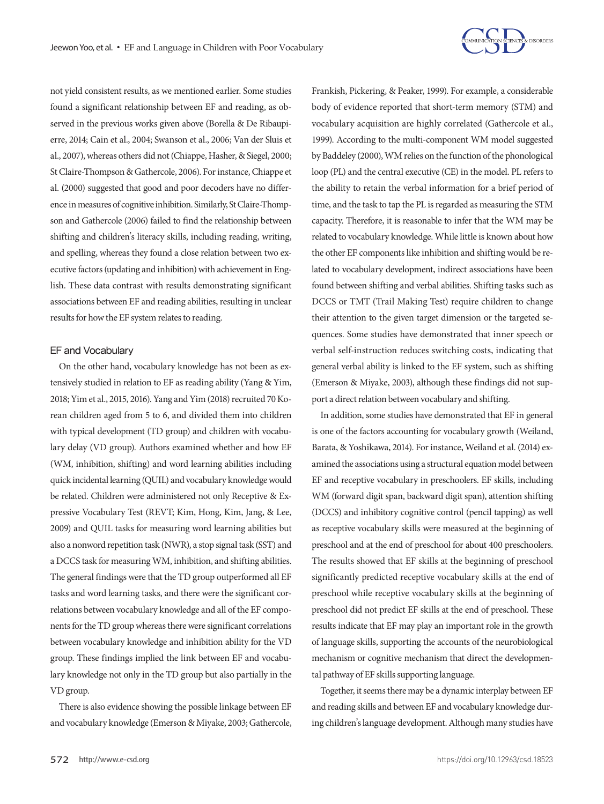

not yield consistent results, as we mentioned earlier. Some studies found a significant relationship between EF and reading, as observed in the previous works given above (Borella & De Ribaupierre, 2014; Cain et al., 2004; Swanson et al., 2006; Van der Sluis et al., 2007), whereas others did not (Chiappe, Hasher, & Siegel, 2000; St Claire-Thompson & Gathercole, 2006). For instance, Chiappe et al. (2000) suggested that good and poor decoders have no difference in measures of cognitive inhibition. Similarly, St Claire-Thompson and Gathercole (2006) failed to find the relationship between shifting and children's literacy skills, including reading, writing, and spelling, whereas they found a close relation between two executive factors (updating and inhibition) with achievement in English. These data contrast with results demonstrating significant associations between EF and reading abilities, resulting in unclear results for how the EF system relates to reading.

#### EF and Vocabulary

On the other hand, vocabulary knowledge has not been as extensively studied in relation to EF as reading ability (Yang & Yim, 2018; Yim et al., 2015, 2016). Yang and Yim (2018) recruited 70 Korean children aged from 5 to 6, and divided them into children with typical development (TD group) and children with vocabulary delay (VD group). Authors examined whether and how EF (WM, inhibition, shifting) and word learning abilities including quick incidental learning (QUIL) and vocabulary knowledge would be related. Children were administered not only Receptive & Expressive Vocabulary Test (REVT; Kim, Hong, Kim, Jang, & Lee, 2009) and QUIL tasks for measuring word learning abilities but also a nonword repetition task (NWR), a stop signal task (SST) and a DCCS task for measuring WM, inhibition, and shifting abilities. The general findings were that the TD group outperformed all EF tasks and word learning tasks, and there were the significant correlations between vocabulary knowledge and all of the EF components for the TD group whereas there were significant correlations between vocabulary knowledge and inhibition ability for the VD group. These findings implied the link between EF and vocabulary knowledge not only in the TD group but also partially in the VD group.

There is also evidence showing the possible linkage between EF and vocabulary knowledge (Emerson & Miyake, 2003; Gathercole, Frankish, Pickering, & Peaker, 1999). For example, a considerable body of evidence reported that short-term memory (STM) and vocabulary acquisition are highly correlated (Gathercole et al., 1999). According to the multi-component WM model suggested by Baddeley (2000), WM relies on the function of the phonological loop (PL) and the central executive (CE) in the model. PL refers to the ability to retain the verbal information for a brief period of time, and the task to tap the PL is regarded as measuring the STM capacity. Therefore, it is reasonable to infer that the WM may be related to vocabulary knowledge. While little is known about how the other EF components like inhibition and shifting would be related to vocabulary development, indirect associations have been found between shifting and verbal abilities. Shifting tasks such as DCCS or TMT (Trail Making Test) require children to change their attention to the given target dimension or the targeted sequences. Some studies have demonstrated that inner speech or verbal self-instruction reduces switching costs, indicating that general verbal ability is linked to the EF system, such as shifting (Emerson & Miyake, 2003), although these findings did not support a direct relation between vocabulary and shifting.

In addition, some studies have demonstrated that EF in general is one of the factors accounting for vocabulary growth (Weiland, Barata, & Yoshikawa, 2014). For instance, Weiland et al. (2014) examined the associations using a structural equation model between EF and receptive vocabulary in preschoolers. EF skills, including WM (forward digit span, backward digit span), attention shifting (DCCS) and inhibitory cognitive control (pencil tapping) as well as receptive vocabulary skills were measured at the beginning of preschool and at the end of preschool for about 400 preschoolers. The results showed that EF skills at the beginning of preschool significantly predicted receptive vocabulary skills at the end of preschool while receptive vocabulary skills at the beginning of preschool did not predict EF skills at the end of preschool. These results indicate that EF may play an important role in the growth of language skills, supporting the accounts of the neurobiological mechanism or cognitive mechanism that direct the developmental pathway of EF skills supporting language.

Together, it seems there may be a dynamic interplay between EF and reading skills and between EF and vocabulary knowledge during children's language development. Although many studies have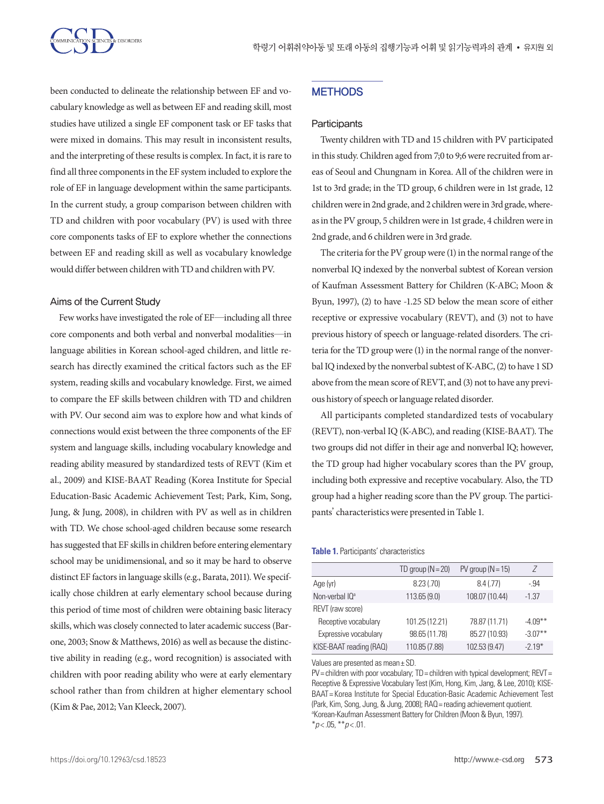

been conducted to delineate the relationship between EF and vocabulary knowledge as well as between EF and reading skill, most studies have utilized a single EF component task or EF tasks that were mixed in domains. This may result in inconsistent results, and the interpreting of these results is complex. In fact, it is rare to find all three components in the EF system included to explore the role of EF in language development within the same participants. In the current study, a group comparison between children with TD and children with poor vocabulary (PV) is used with three core components tasks of EF to explore whether the connections between EF and reading skill as well as vocabulary knowledge would differ between children with TD and children with PV.

#### Aims of the Current Study

Few works have investigated the role of EF—including all three core components and both verbal and nonverbal modalities—in language abilities in Korean school-aged children, and little research has directly examined the critical factors such as the EF system, reading skills and vocabulary knowledge. First, we aimed to compare the EF skills between children with TD and children with PV. Our second aim was to explore how and what kinds of connections would exist between the three components of the EF system and language skills, including vocabulary knowledge and reading ability measured by standardized tests of REVT (Kim et al., 2009) and KISE-BAAT Reading (Korea Institute for Special Education-Basic Academic Achievement Test; Park, Kim, Song, Jung, & Jung, 2008), in children with PV as well as in children with TD. We chose school-aged children because some research has suggested that EF skills in children before entering elementary school may be unidimensional, and so it may be hard to observe distinct EF factors in language skills (e.g., Barata, 2011). We specifically chose children at early elementary school because during this period of time most of children were obtaining basic literacy skills, which was closely connected to later academic success (Barone, 2003; Snow & Matthews, 2016) as well as because the distinctive ability in reading (e.g., word recognition) is associated with children with poor reading ability who were at early elementary school rather than from children at higher elementary school (Kim & Pae, 2012; Van Kleeck, 2007).

# **METHODS**

#### **Participants**

Twenty children with TD and 15 children with PV participated in this study. Children aged from 7;0 to 9;6 were recruited from areas of Seoul and Chungnam in Korea. All of the children were in 1st to 3rd grade; in the TD group, 6 children were in 1st grade, 12 children were in 2nd grade, and 2 children were in 3rd grade, whereas in the PV group, 5 children were in 1st grade, 4 children were in 2nd grade, and 6 children were in 3rd grade.

The criteria for the PV group were (1) in the normal range of the nonverbal IQ indexed by the nonverbal subtest of Korean version of Kaufman Assessment Battery for Children (K-ABC; Moon & Byun, 1997), (2) to have -1.25 SD below the mean score of either receptive or expressive vocabulary (REVT), and (3) not to have previous history of speech or language-related disorders. The criteria for the TD group were (1) in the normal range of the nonverbal IQ indexed by the nonverbal subtest of K-ABC, (2) to have 1 SD above from the mean score of REVT, and (3) not to have any previous history of speech or language related disorder.

All participants completed standardized tests of vocabulary (REVT), non-verbal IQ (K-ABC), and reading (KISE-BAAT). The two groups did not differ in their age and nonverbal IQ; however, the TD group had higher vocabulary scores than the PV group, including both expressive and receptive vocabulary. Also, the TD group had a higher reading score than the PV group. The participants' characteristics were presented in Table 1.

#### **Table 1.** Participants' characteristics

|                            | TD group $(N = 20)$ | $PV$ group $(N = 15)$ | 7          |
|----------------------------|---------------------|-----------------------|------------|
| Age (yr)                   | 8.23(.70)           | 8.4(.77)              | -.94       |
| Non-verbal IQ <sup>a</sup> | 113.65 (9.0)        | 108.07 (10.44)        | $-1.37$    |
| REVT (raw score)           |                     |                       |            |
| Receptive vocabulary       | 101.25 (12.21)      | 78.87 (11.71)         | $-4.09***$ |
| Expressive vocabulary      | 98.65 (11.78)       | 85.27 (10.93)         | $-3.07**$  |
| KISE-BAAT reading (RAQ)    | 110.85 (7.88)       | 102.53 (9.47)         | $-219*$    |

Values are presented as mean± SD.

PV = children with poor vocabulary; TD = children with typical development; REVT = Receptive & Expressive Vocabulary Test (Kim, Hong, Kim, Jang, & Lee, 2010); KISE-BAAT= Korea Institute for Special Education-Basic Academic Achievement Test (Park, Kim, Song, Jung, & Jung, 2008); RAQ= reading achievement quotient. <sup>a</sup>Korean-Kaufman Assessment Battery for Children (Moon & Byun, 1997). \**p* < .05, \*\**p* < .01.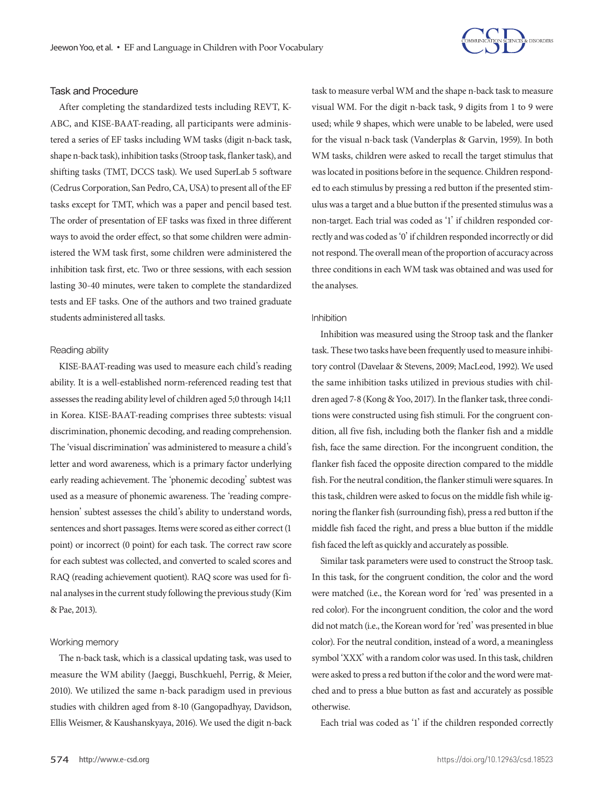

#### Task and Procedure

After completing the standardized tests including REVT, K-ABC, and KISE-BAAT-reading, all participants were administered a series of EF tasks including WM tasks (digit n-back task, shape n-back task), inhibition tasks (Stroop task, flanker task), and shifting tasks (TMT, DCCS task). We used SuperLab 5 software (Cedrus Corporation, San Pedro, CA, USA) to present all of the EF tasks except for TMT, which was a paper and pencil based test. The order of presentation of EF tasks was fixed in three different ways to avoid the order effect, so that some children were administered the WM task first, some children were administered the inhibition task first, etc. Two or three sessions, with each session lasting 30-40 minutes, were taken to complete the standardized tests and EF tasks. One of the authors and two trained graduate students administered all tasks.

#### Reading ability

KISE-BAAT-reading was used to measure each child's reading ability. It is a well-established norm-referenced reading test that assesses the reading ability level of children aged 5;0 through 14;11 in Korea. KISE-BAAT-reading comprises three subtests: visual discrimination, phonemic decoding, and reading comprehension. The 'visual discrimination' was administered to measure a child's letter and word awareness, which is a primary factor underlying early reading achievement. The 'phonemic decoding' subtest was used as a measure of phonemic awareness. The 'reading comprehension' subtest assesses the child's ability to understand words, sentences and short passages. Items were scored as either correct (1 point) or incorrect (0 point) for each task. The correct raw score for each subtest was collected, and converted to scaled scores and RAQ (reading achievement quotient). RAQ score was used for final analyses in the current study following the previous study (Kim & Pae, 2013).

#### Working memory

The n-back task, which is a classical updating task, was used to measure the WM ability (Jaeggi, Buschkuehl, Perrig, & Meier, 2010). We utilized the same n-back paradigm used in previous studies with children aged from 8-10 (Gangopadhyay, Davidson, Ellis Weismer, & Kaushanskyaya, 2016). We used the digit n-back

task to measure verbal WM and the shape n-back task to measure visual WM. For the digit n-back task, 9 digits from 1 to 9 were used; while 9 shapes, which were unable to be labeled, were used for the visual n-back task (Vanderplas & Garvin, 1959). In both WM tasks, children were asked to recall the target stimulus that was located in positions before in the sequence. Children responded to each stimulus by pressing a red button if the presented stimulus was a target and a blue button if the presented stimulus was a non-target. Each trial was coded as '1' if children responded correctly and was coded as '0' if children responded incorrectly or did not respond. The overall mean of the proportion of accuracy across three conditions in each WM task was obtained and was used for the analyses.

#### Inhibition

Inhibition was measured using the Stroop task and the flanker task. These two tasks have been frequently used to measure inhibitory control (Davelaar & Stevens, 2009; MacLeod, 1992). We used the same inhibition tasks utilized in previous studies with children aged 7-8 (Kong & Yoo, 2017). In the flanker task, three conditions were constructed using fish stimuli. For the congruent condition, all five fish, including both the flanker fish and a middle fish, face the same direction. For the incongruent condition, the flanker fish faced the opposite direction compared to the middle fish. For the neutral condition, the flanker stimuli were squares. In this task, children were asked to focus on the middle fish while ignoring the flanker fish (surrounding fish), press a red button if the middle fish faced the right, and press a blue button if the middle fish faced the left as quickly and accurately as possible.

Similar task parameters were used to construct the Stroop task. In this task, for the congruent condition, the color and the word were matched (i.e., the Korean word for 'red' was presented in a red color). For the incongruent condition, the color and the word did not match (i.e., the Korean word for 'red' was presented in blue color). For the neutral condition, instead of a word, a meaningless symbol 'XXX' with a random color was used. In this task, children were asked to press a red button if the color and the word were matched and to press a blue button as fast and accurately as possible otherwise.

Each trial was coded as '1' if the children responded correctly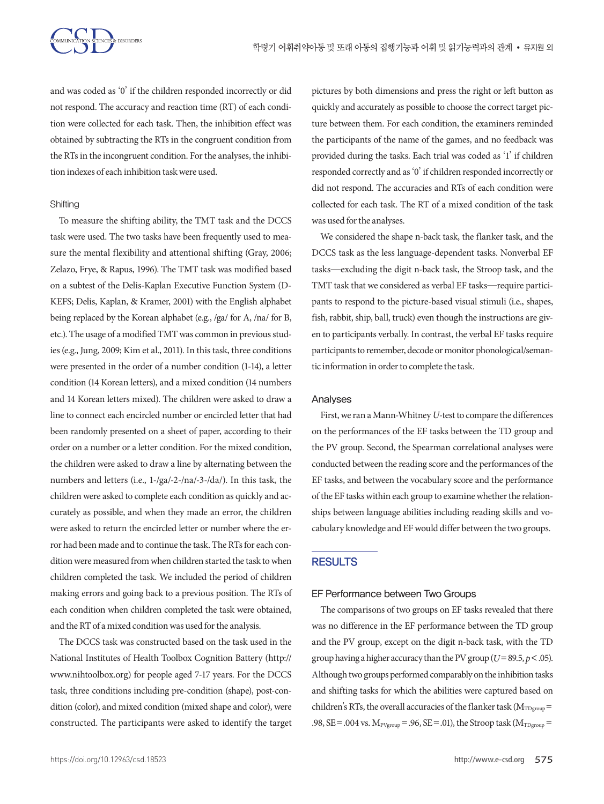

and was coded as '0' if the children responded incorrectly or did not respond. The accuracy and reaction time (RT) of each condition were collected for each task. Then, the inhibition effect was obtained by subtracting the RTs in the congruent condition from the RTs in the incongruent condition. For the analyses, the inhibition indexes of each inhibition task were used.

#### **Shifting**

To measure the shifting ability, the TMT task and the DCCS task were used. The two tasks have been frequently used to measure the mental flexibility and attentional shifting (Gray, 2006; Zelazo, Frye, & Rapus, 1996). The TMT task was modified based on a subtest of the Delis-Kaplan Executive Function System (D-KEFS; Delis, Kaplan, & Kramer, 2001) with the English alphabet being replaced by the Korean alphabet (e.g., /ga/ for A, /na/ for B, etc.). The usage of a modified TMT was common in previous studies (e.g., Jung, 2009; Kim et al., 2011). In this task, three conditions were presented in the order of a number condition (1-14), a letter condition (14 Korean letters), and a mixed condition (14 numbers and 14 Korean letters mixed). The children were asked to draw a line to connect each encircled number or encircled letter that had been randomly presented on a sheet of paper, according to their order on a number or a letter condition. For the mixed condition, the children were asked to draw a line by alternating between the numbers and letters (i.e., 1-/ga/-2-/na/-3-/da/). In this task, the children were asked to complete each condition as quickly and accurately as possible, and when they made an error, the children were asked to return the encircled letter or number where the error had been made and to continue the task. The RTs for each condition were measured from when children started the task to when children completed the task. We included the period of children making errors and going back to a previous position. The RTs of each condition when children completed the task were obtained, and the RT of a mixed condition was used for the analysis.

The DCCS task was constructed based on the task used in the National Institutes of Health Toolbox Cognition Battery (http:// www.nihtoolbox.org) for people aged 7-17 years. For the DCCS task, three conditions including pre-condition (shape), post-condition (color), and mixed condition (mixed shape and color), were constructed. The participants were asked to identify the target

pictures by both dimensions and press the right or left button as quickly and accurately as possible to choose the correct target picture between them. For each condition, the examiners reminded the participants of the name of the games, and no feedback was provided during the tasks. Each trial was coded as '1' if children responded correctly and as '0' if children responded incorrectly or did not respond. The accuracies and RTs of each condition were collected for each task. The RT of a mixed condition of the task was used for the analyses.

We considered the shape n-back task, the flanker task, and the DCCS task as the less language-dependent tasks. Nonverbal EF tasks—excluding the digit n-back task, the Stroop task, and the TMT task that we considered as verbal EF tasks—require participants to respond to the picture-based visual stimuli (i.e., shapes, fish, rabbit, ship, ball, truck) even though the instructions are given to participants verbally. In contrast, the verbal EF tasks require participants to remember, decode or monitor phonological/semantic information in order to complete the task.

#### Analyses

First, we ran a Mann-Whitney *U*-test to compare the differences on the performances of the EF tasks between the TD group and the PV group. Second, the Spearman correlational analyses were conducted between the reading score and the performances of the EF tasks, and between the vocabulary score and the performance of the EF tasks within each group to examine whether the relationships between language abilities including reading skills and vocabulary knowledge and EF would differ between the two groups.

#### **RESULTS**

#### EF Performance between Two Groups

The comparisons of two groups on EF tasks revealed that there was no difference in the EF performance between the TD group and the PV group, except on the digit n-back task, with the TD group having a higher accuracy than the PV group (*U*=89.5, *p*<.05). Although two groups performed comparably on the inhibition tasks and shifting tasks for which the abilities were captured based on children's RTs, the overall accuracies of the flanker task ( $M_{TDgroup}$ = .98, SE = .004 vs.  $M_{Pygroup} = .96$ , SE = .01), the Stroop task ( $M_{TDgroup} =$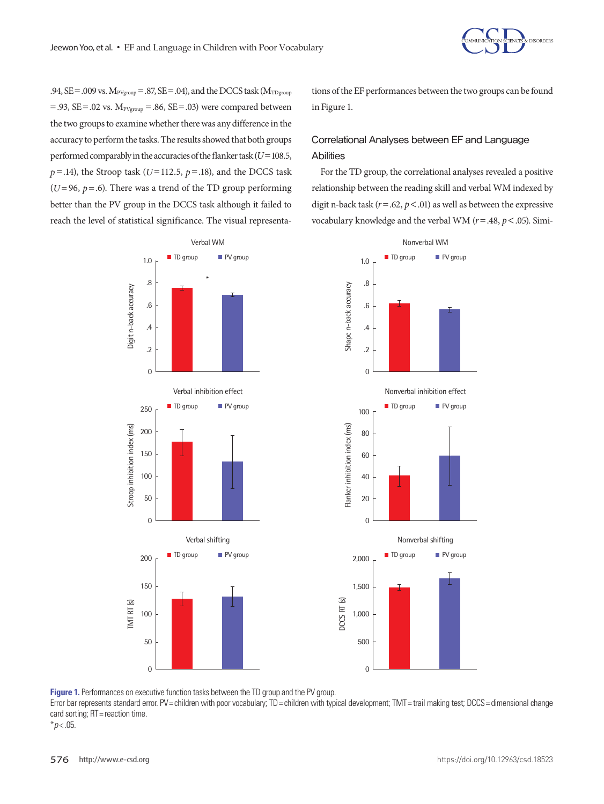

.94,  $SE = .009$  vs.  $M_{PVgroup} = .87$ ,  $SE = .04$ ), and the DCCS task ( $M_{TDgroup}$  $= .93$ , SE $= .02$  vs.  $M_{Pygroup} = .86$ , SE $= .03$ ) were compared between the two groups to examine whether there was any difference in the accuracy to perform the tasks. The results showed that both groups performed comparably in the accuracies of the flanker task (*U*=108.5,  $p = .14$ ), the Stroop task ( $U=112.5$ ,  $p = .18$ ), and the DCCS task ( $U=96$ ,  $p=.6$ ). There was a trend of the TD group performing better than the PV group in the DCCS task although it failed to reach the level of statistical significance. The visual representations of the EF performances between the two groups can be found in Figure 1.

# Correlational Analyses between EF and Language **Abilities**

For the TD group, the correlational analyses revealed a positive relationship between the reading skill and verbal WM indexed by digit n-back task ( $r = .62$ ,  $p < .01$ ) as well as between the expressive vocabulary knowledge and the verbal WM (*r*=.48, *p*<.05). Simi-



**Figure 1.** Performances on executive function tasks between the TD group and the PV group.

Error bar represents standard error. PV= children with poor vocabulary; TD= children with typical development; TMT= trail making test; DCCS= dimensional change card sorting; RT = reaction time.

 $*p$  < .05.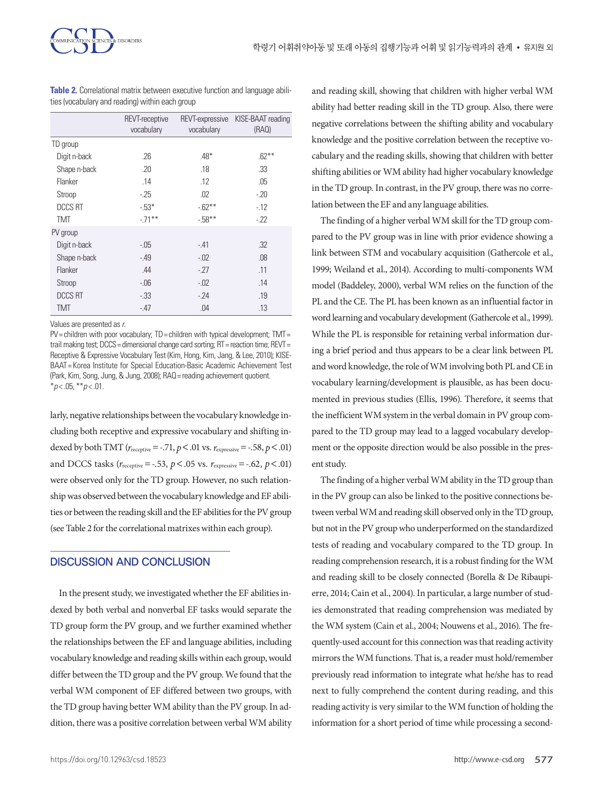

| <b>Table 2.</b> Correlational matrix between executive function and language abili- |  |  |  |
|-------------------------------------------------------------------------------------|--|--|--|
| ties (vocabulary and reading) within each group                                     |  |  |  |

|                | REVT-receptive<br>vocabulary | vocabulary | REVT-expressive KISE-BAAT reading<br>(RAO) |
|----------------|------------------------------|------------|--------------------------------------------|
| TD group       |                              |            |                                            |
| Digit n-back   | .26                          | $.48*$     | $.62***$                                   |
| Shape n-back   | .20                          | .18        | .33                                        |
| Flanker        | .14                          | .12        | .05                                        |
| Stroop         | $-25$                        | .02        | $-20$                                      |
| <b>DCCS RT</b> | $-53*$                       | $-62**$    | $-12$                                      |
| <b>TMT</b>     | $-.71***$                    | $-58**$    | $-22$                                      |
| PV group       |                              |            |                                            |
| Digit n-back   | $-.05$                       | $-41$      | .32                                        |
| Shape n-back   | $-49$                        | $-.02$     | .08                                        |
| Flanker        | .44                          | $-27$      | .11                                        |
| Stroop         | $-06$                        | $-0.02$    | .14                                        |
| <b>DCCS RT</b> | $-33$                        | $-24$      | .19                                        |
| <b>TMT</b>     | $-47$                        | .04        | .13                                        |

Values are presented as *r*.

PV= children with poor vocabulary; TD= children with typical development; TMT= trail making test; DCCS = dimensional change card sorting; RT = reaction time; REVT = Receptive & Expressive Vocabulary Test (Kim, Hong, Kim, Jang, & Lee, 2010); KISE-BAAT= Korea Institute for Special Education-Basic Academic Achievement Test (Park, Kim, Song, Jung, & Jung, 2008); RAQ = reading achievement quotient \**p* < .05, \*\**p* < .01.

larly, negative relationships between the vocabulary knowledge including both receptive and expressive vocabulary and shifting indexed by both TMT ( $r_{\text{receptive}} = -.71$ ,  $p < .01$  vs.  $r_{\text{expressive}} = -.58$ ,  $p < .01$ ) and DCCS tasks ( $r_{\text{receptive}} = -.53$ ,  $p < .05$  vs.  $r_{\text{expressive}} = -.62$ ,  $p < .01$ ) were observed only for the TD group. However, no such relationship was observed between the vocabulary knowledge and EF abilities or between the reading skill and the EF abilities for the PV group (see Table 2 for the correlational matrixes within each group).

## DISCUSSION AND CONCLUSION

In the present study, we investigated whether the EF abilities indexed by both verbal and nonverbal EF tasks would separate the TD group form the PV group, and we further examined whether the relationships between the EF and language abilities, including vocabulary knowledge and reading skills within each group, would differ between the TD group and the PV group. We found that the verbal WM component of EF differed between two groups, with the TD group having better WM ability than the PV group. In addition, there was a positive correlation between verbal WM ability and reading skill, showing that children with higher verbal WM ability had better reading skill in the TD group. Also, there were negative correlations between the shifting ability and vocabulary knowledge and the positive correlation between the receptive vocabulary and the reading skills, showing that children with better shifting abilities or WM ability had higher vocabulary knowledge in the TD group. In contrast, in the PV group, there was no correlation between the EF and any language abilities.

The finding of a higher verbal WM skill for the TD group compared to the PV group was in line with prior evidence showing a link between STM and vocabulary acquisition (Gathercole et al., 1999; Weiland et al., 2014). According to multi-components WM model (Baddeley, 2000), verbal WM relies on the function of the PL and the CE. The PL has been known as an influential factor in word learning and vocabulary development (Gathercole et al., 1999). While the PL is responsible for retaining verbal information during a brief period and thus appears to be a clear link between PL and word knowledge, the role of WM involving both PL and CE in vocabulary learning/development is plausible, as has been documented in previous studies (Ellis, 1996). Therefore, it seems that the inefficient WM system in the verbal domain in PV group compared to the TD group may lead to a lagged vocabulary development or the opposite direction would be also possible in the present study.

The finding of a higher verbal WM ability in the TD group than in the PV group can also be linked to the positive connections between verbal WM and reading skill observed only in the TD group, but not in the PV group who underperformed on the standardized tests of reading and vocabulary compared to the TD group. In reading comprehension research, it is a robust finding for the WM and reading skill to be closely connected (Borella & De Ribaupierre, 2014; Cain et al., 2004). In particular, a large number of studies demonstrated that reading comprehension was mediated by the WM system (Cain et al., 2004; Nouwens et al., 2016). The frequently-used account for this connection was that reading activity mirrors the WM functions. That is, a reader must hold/remember previously read information to integrate what he/she has to read next to fully comprehend the content during reading, and this reading activity is very similar to the WM function of holding the information for a short period of time while processing a second-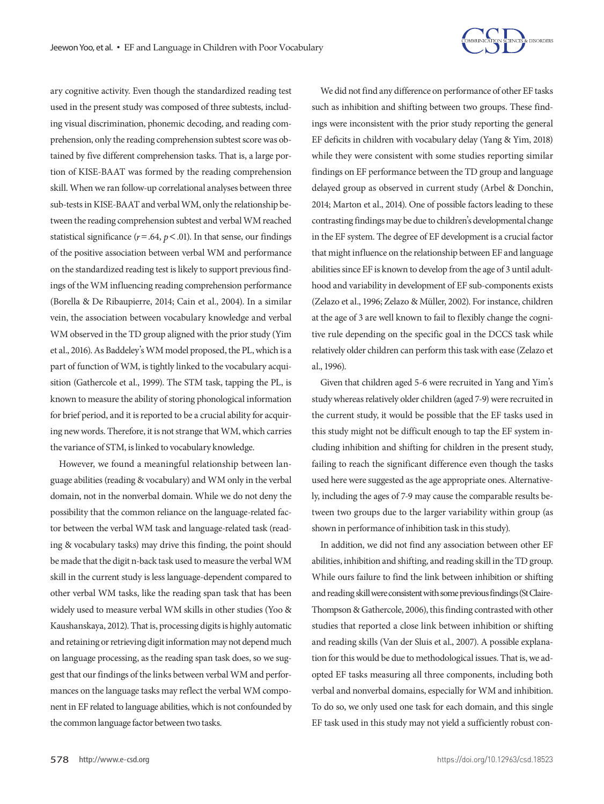

ary cognitive activity. Even though the standardized reading test used in the present study was composed of three subtests, including visual discrimination, phonemic decoding, and reading comprehension, only the reading comprehension subtest score was obtained by five different comprehension tasks. That is, a large portion of KISE-BAAT was formed by the reading comprehension skill. When we ran follow-up correlational analyses between three sub-tests in KISE-BAAT and verbal WM, only the relationship between the reading comprehension subtest and verbal WM reached statistical significance ( $r = .64$ ,  $p < .01$ ). In that sense, our findings of the positive association between verbal WM and performance on the standardized reading test is likely to support previous findings of the WM influencing reading comprehension performance (Borella & De Ribaupierre, 2014; Cain et al., 2004). In a similar vein, the association between vocabulary knowledge and verbal WM observed in the TD group aligned with the prior study (Yim et al., 2016). As Baddeley's WM model proposed, the PL, which is a part of function of WM, is tightly linked to the vocabulary acquisition (Gathercole et al., 1999). The STM task, tapping the PL, is known to measure the ability of storing phonological information for brief period, and it is reported to be a crucial ability for acquiring new words. Therefore, it is not strange that WM, which carries the variance of STM, is linked to vocabulary knowledge.

However, we found a meaningful relationship between language abilities (reading & vocabulary) and WM only in the verbal domain, not in the nonverbal domain. While we do not deny the possibility that the common reliance on the language-related factor between the verbal WM task and language-related task (reading & vocabulary tasks) may drive this finding, the point should be made that the digit n-back task used to measure the verbal WM skill in the current study is less language-dependent compared to other verbal WM tasks, like the reading span task that has been widely used to measure verbal WM skills in other studies (Yoo & Kaushanskaya, 2012). That is, processing digits is highly automatic and retaining or retrieving digit information may not depend much on language processing, as the reading span task does, so we suggest that our findings of the links between verbal WM and performances on the language tasks may reflect the verbal WM component in EF related to language abilities, which is not confounded by the common language factor between two tasks.

We did not find any difference on performance of other EF tasks such as inhibition and shifting between two groups. These findings were inconsistent with the prior study reporting the general EF deficits in children with vocabulary delay (Yang & Yim, 2018) while they were consistent with some studies reporting similar findings on EF performance between the TD group and language delayed group as observed in current study (Arbel & Donchin, 2014; Marton et al., 2014). One of possible factors leading to these contrasting findings may be due to children's developmental change in the EF system. The degree of EF development is a crucial factor that might influence on the relationship between EF and language abilities since EF is known to develop from the age of 3 until adulthood and variability in development of EF sub-components exists (Zelazo et al., 1996; Zelazo & Müller, 2002). For instance, children at the age of 3 are well known to fail to flexibly change the cognitive rule depending on the specific goal in the DCCS task while relatively older children can perform this task with ease (Zelazo et al., 1996).

Given that children aged 5-6 were recruited in Yang and Yim's study whereas relatively older children (aged 7-9) were recruited in the current study, it would be possible that the EF tasks used in this study might not be difficult enough to tap the EF system including inhibition and shifting for children in the present study, failing to reach the significant difference even though the tasks used here were suggested as the age appropriate ones. Alternatively, including the ages of 7-9 may cause the comparable results between two groups due to the larger variability within group (as shown in performance of inhibition task in this study).

In addition, we did not find any association between other EF abilities, inhibition and shifting, and reading skill in the TD group. While ours failure to find the link between inhibition or shifting and reading skill were consistent with some previous findings (St Claire-Thompson & Gathercole, 2006), this finding contrasted with other studies that reported a close link between inhibition or shifting and reading skills (Van der Sluis et al., 2007). A possible explanation for this would be due to methodological issues. That is, we adopted EF tasks measuring all three components, including both verbal and nonverbal domains, especially for WM and inhibition. To do so, we only used one task for each domain, and this single EF task used in this study may not yield a sufficiently robust con-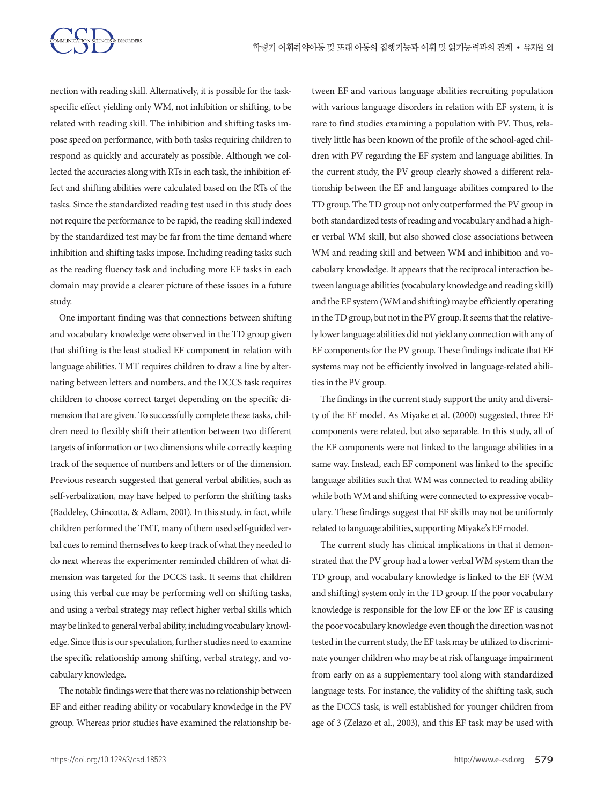

nection with reading skill. Alternatively, it is possible for the taskspecific effect yielding only WM, not inhibition or shifting, to be related with reading skill. The inhibition and shifting tasks impose speed on performance, with both tasks requiring children to respond as quickly and accurately as possible. Although we collected the accuracies along with RTs in each task, the inhibition effect and shifting abilities were calculated based on the RTs of the tasks. Since the standardized reading test used in this study does not require the performance to be rapid, the reading skill indexed by the standardized test may be far from the time demand where inhibition and shifting tasks impose. Including reading tasks such as the reading fluency task and including more EF tasks in each domain may provide a clearer picture of these issues in a future study.

One important finding was that connections between shifting and vocabulary knowledge were observed in the TD group given that shifting is the least studied EF component in relation with language abilities. TMT requires children to draw a line by alternating between letters and numbers, and the DCCS task requires children to choose correct target depending on the specific dimension that are given. To successfully complete these tasks, children need to flexibly shift their attention between two different targets of information or two dimensions while correctly keeping track of the sequence of numbers and letters or of the dimension. Previous research suggested that general verbal abilities, such as self-verbalization, may have helped to perform the shifting tasks (Baddeley, Chincotta, & Adlam, 2001). In this study, in fact, while children performed the TMT, many of them used self-guided verbal cues to remind themselves to keep track of what they needed to do next whereas the experimenter reminded children of what dimension was targeted for the DCCS task. It seems that children using this verbal cue may be performing well on shifting tasks, and using a verbal strategy may reflect higher verbal skills which may be linked to general verbal ability, including vocabulary knowledge. Since this is our speculation, further studies need to examine the specific relationship among shifting, verbal strategy, and vocabulary knowledge.

The notable findings were that there was no relationship between EF and either reading ability or vocabulary knowledge in the PV group. Whereas prior studies have examined the relationship between EF and various language abilities recruiting population with various language disorders in relation with EF system, it is rare to find studies examining a population with PV. Thus, relatively little has been known of the profile of the school-aged children with PV regarding the EF system and language abilities. In the current study, the PV group clearly showed a different relationship between the EF and language abilities compared to the TD group. The TD group not only outperformed the PV group in both standardized tests of reading and vocabulary and had a higher verbal WM skill, but also showed close associations between WM and reading skill and between WM and inhibition and vocabulary knowledge. It appears that the reciprocal interaction between language abilities (vocabulary knowledge and reading skill) and the EF system (WM and shifting) may be efficiently operating in the TD group, but not in the PV group. It seems that the relatively lower language abilities did not yield any connection with any of EF components for the PV group. These findings indicate that EF systems may not be efficiently involved in language-related abilities in the PV group.

The findings in the current study support the unity and diversity of the EF model. As Miyake et al. (2000) suggested, three EF components were related, but also separable. In this study, all of the EF components were not linked to the language abilities in a same way. Instead, each EF component was linked to the specific language abilities such that WM was connected to reading ability while both WM and shifting were connected to expressive vocabulary. These findings suggest that EF skills may not be uniformly related to language abilities, supporting Miyake's EF model.

The current study has clinical implications in that it demonstrated that the PV group had a lower verbal WM system than the TD group, and vocabulary knowledge is linked to the EF (WM and shifting) system only in the TD group. If the poor vocabulary knowledge is responsible for the low EF or the low EF is causing the poor vocabulary knowledge even though the direction was not tested in the current study, the EF task may be utilized to discriminate younger children who may be at risk of language impairment from early on as a supplementary tool along with standardized language tests. For instance, the validity of the shifting task, such as the DCCS task, is well established for younger children from age of 3 (Zelazo et al., 2003), and this EF task may be used with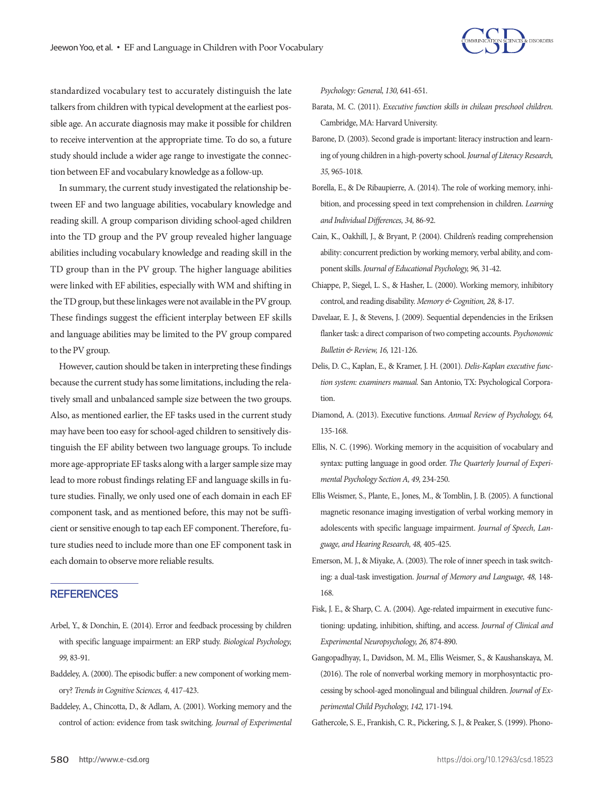

standardized vocabulary test to accurately distinguish the late talkers from children with typical development at the earliest possible age. An accurate diagnosis may make it possible for children to receive intervention at the appropriate time. To do so, a future study should include a wider age range to investigate the connection between EF and vocabulary knowledge as a follow-up.

In summary, the current study investigated the relationship between EF and two language abilities, vocabulary knowledge and reading skill. A group comparison dividing school-aged children into the TD group and the PV group revealed higher language abilities including vocabulary knowledge and reading skill in the TD group than in the PV group. The higher language abilities were linked with EF abilities, especially with WM and shifting in the TD group, but these linkages were not available in the PV group. These findings suggest the efficient interplay between EF skills and language abilities may be limited to the PV group compared to the PV group.

However, caution should be taken in interpreting these findings because the current study has some limitations, including the relatively small and unbalanced sample size between the two groups. Also, as mentioned earlier, the EF tasks used in the current study may have been too easy for school-aged children to sensitively distinguish the EF ability between two language groups. To include more age-appropriate EF tasks along with a larger sample size may lead to more robust findings relating EF and language skills in future studies. Finally, we only used one of each domain in each EF component task, and as mentioned before, this may not be sufficient or sensitive enough to tap each EF component. Therefore, future studies need to include more than one EF component task in each domain to observe more reliable results.

## **REFERENCES**

- Arbel, Y., & Donchin, E. (2014). Error and feedback processing by children with specific language impairment: an ERP study. *Biological Psychology, 99,* 83-91.
- Baddeley, A. (2000). The episodic buffer: a new component of working memory? *Trends in Cognitive Sciences, 4,* 417-423.
- Baddeley, A., Chincotta, D., & Adlam, A. (2001). Working memory and the control of action: evidence from task switching. *Journal of Experimental*

*Psychology: General, 130,* 641-651.

- Barata, M. C. (2011). *Executive function skills in chilean preschool children.*  Cambridge, MA: Harvard University.
- Barone, D. (2003). Second grade is important: literacy instruction and learning of young children in a high-poverty school. *Journal of Literacy Research, 35,* 965-1018.
- Borella, E., & De Ribaupierre, A. (2014). The role of working memory, inhibition, and processing speed in text comprehension in children. *Learning and Individual Differences, 34,* 86-92.
- Cain, K., Oakhill, J., & Bryant, P. (2004). Children's reading comprehension ability: concurrent prediction by working memory, verbal ability, and component skills. *Journal of Educational Psychology, 96,* 31-42.
- Chiappe, P., Siegel, L. S., & Hasher, L. (2000). Working memory, inhibitory control, and reading disability. *Memory & Cognition, 28,* 8-17.
- Davelaar, E. J., & Stevens, J. (2009). Sequential dependencies in the Eriksen flanker task: a direct comparison of two competing accounts. *Psychonomic Bulletin & Review, 16,* 121-126.
- Delis, D. C., Kaplan, E., & Kramer, J. H. (2001). *Delis-Kaplan executive function system: examiners manual.* San Antonio, TX: Psychological Corporation.
- Diamond, A. (2013). Executive functions. *Annual Review of Psychology, 64,*  135-168.
- Ellis, N. C. (1996). Working memory in the acquisition of vocabulary and syntax: putting language in good order. *The Quarterly Journal of Experimental Psychology Section A, 49,* 234-250.
- Ellis Weismer, S., Plante, E., Jones, M., & Tomblin, J. B. (2005). A functional magnetic resonance imaging investigation of verbal working memory in adolescents with specific language impairment. *Journal of Speech, Language, and Hearing Research, 48,* 405-425.
- Emerson, M. J., & Miyake, A. (2003). The role of inner speech in task switching: a dual-task investigation. *Journal of Memory and Language, 48,* 148- 168.
- Fisk, J. E., & Sharp, C. A. (2004). Age-related impairment in executive functioning: updating, inhibition, shifting, and access. *Journal of Clinical and Experimental Neuropsychology, 26,* 874-890.
- Gangopadhyay, I., Davidson, M. M., Ellis Weismer, S., & Kaushanskaya, M. (2016). The role of nonverbal working memory in morphosyntactic processing by school-aged monolingual and bilingual children. *Journal of Experimental Child Psychology, 142,* 171-194.

Gathercole, S. E., Frankish, C. R., Pickering, S. J., & Peaker, S. (1999). Phono-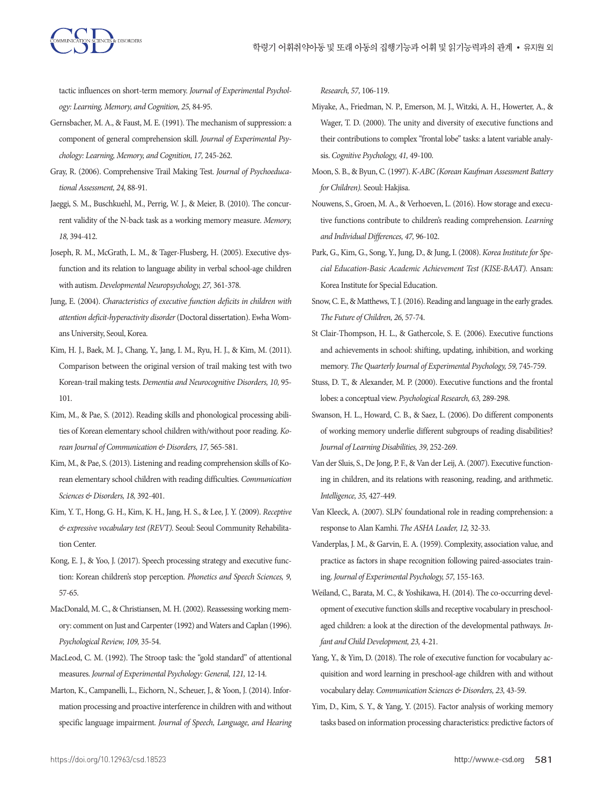tactic influences on short-term memory. *Journal of Experimental Psychology: Learning, Memory, and Cognition, 25,* 84-95.

- Gernsbacher, M. A., & Faust, M. E. (1991). The mechanism of suppression: a component of general comprehension skill. *Journal of Experimental Psychology: Learning, Memory, and Cognition, 17,* 245-262.
- Gray, R. (2006). Comprehensive Trail Making Test. *Journal of Psychoeducational Assessment, 24,* 88-91.
- Jaeggi, S. M., Buschkuehl, M., Perrig, W. J., & Meier, B. (2010). The concurrent validity of the N-back task as a working memory measure. *Memory, 18,* 394-412.
- Joseph, R. M., McGrath, L. M., & Tager-Flusberg, H. (2005). Executive dysfunction and its relation to language ability in verbal school-age children with autism. *Developmental Neuropsychology, 27,* 361-378.
- Jung, E. (2004). *Characteristics of executive function deficits in children with attention deficit-hyperactivity disorder* (Doctoral dissertation). Ewha Womans University, Seoul, Korea.
- Kim, H. J., Baek, M. J., Chang, Y., Jang, I. M., Ryu, H. J., & Kim, M. (2011). Comparison between the original version of trail making test with two Korean-trail making tests. *Dementia and Neurocognitive Disorders, 10,* 95- 101.
- Kim, M., & Pae, S. (2012). Reading skills and phonological processing abilities of Korean elementary school children with/without poor reading. *Korean Journal of Communication & Disorders, 17,* 565-581.
- Kim, M., & Pae, S. (2013). Listening and reading comprehension skills of Korean elementary school children with reading difficulties. *Communication Sciences & Disorders, 18,* 392-401.
- Kim, Y. T., Hong, G. H., Kim, K. H., Jang, H. S., & Lee, J. Y. (2009). *Receptive & expressive vocabulary test (REVT).* Seoul: Seoul Community Rehabilitation Center.
- Kong, E. J., & Yoo, J. (2017). Speech processing strategy and executive function: Korean children's stop perception. *Phonetics and Speech Sciences, 9,* 57-65.
- MacDonald, M. C., & Christiansen, M. H. (2002). Reassessing working memory: comment on Just and Carpenter (1992) and Waters and Caplan (1996). *Psychological Review, 109,* 35-54.
- MacLeod, C. M. (1992). The Stroop task: the "gold standard" of attentional measures. *Journal of Experimental Psychology: General, 121,* 12-14.
- Marton, K., Campanelli, L., Eichorn, N., Scheuer, J., & Yoon, J. (2014). Information processing and proactive interference in children with and without specific language impairment. *Journal of Speech, Language, and Hearing*

*Research, 57,* 106-119.

- Miyake, A., Friedman, N. P., Emerson, M. J., Witzki, A. H., Howerter, A., & Wager, T. D. (2000). The unity and diversity of executive functions and their contributions to complex "frontal lobe" tasks: a latent variable analysis. *Cognitive Psychology, 41,* 49-100.
- Moon, S. B., & Byun, C. (1997). *K-ABC (Korean Kaufman Assessment Battery for Children).* Seoul: Hakjisa.
- Nouwens, S., Groen, M. A., & Verhoeven, L. (2016). How storage and executive functions contribute to children's reading comprehension. *Learning and Individual Differences, 47,* 96-102.
- Park, G., Kim, G., Song, Y., Jung, D., & Jung, I. (2008). *Korea Institute for Special Education-Basic Academic Achievement Test (KISE-BAAT).* Ansan: Korea Institute for Special Education.
- Snow, C. E., & Matthews, T. J. (2016). Reading and language in the early grades. *The Future of Children, 26,* 57-74.
- St Clair-Thompson, H. L., & Gathercole, S. E. (2006). Executive functions and achievements in school: shifting, updating, inhibition, and working memory. The Quarterly Journal of Experimental Psychology, 59, 745-759.
- Stuss, D. T., & Alexander, M. P. (2000). Executive functions and the frontal lobes: a conceptual view. *Psychological Research, 63,* 289-298.
- Swanson, H. L., Howard, C. B., & Saez, L. (2006). Do different components of working memory underlie different subgroups of reading disabilities? *Journal of Learning Disabilities, 39,* 252-269.
- Van der Sluis, S., De Jong, P. F., & Van der Leij, A. (2007). Executive functioning in children, and its relations with reasoning, reading, and arithmetic. *Intelligence, 35,* 427-449.
- Van Kleeck, A. (2007). SLPs' foundational role in reading comprehension: a response to Alan Kamhi. *The ASHA Leader, 12,* 32-33.
- Vanderplas, J. M., & Garvin, E. A. (1959). Complexity, association value, and practice as factors in shape recognition following paired-associates training. *Journal of Experimental Psychology, 57,* 155-163.
- Weiland, C., Barata, M. C., & Yoshikawa, H. (2014). The co-occurring development of executive function skills and receptive vocabulary in preschoolaged children: a look at the direction of the developmental pathways. *Infant and Child Development, 23,* 4-21.
- Yang, Y., & Yim, D. (2018). The role of executive function for vocabulary acquisition and word learning in preschool-age children with and without vocabulary delay. *Communication Sciences & Disorders, 23,* 43-59.
- Yim, D., Kim, S. Y., & Yang, Y. (2015). Factor analysis of working memory tasks based on information processing characteristics: predictive factors of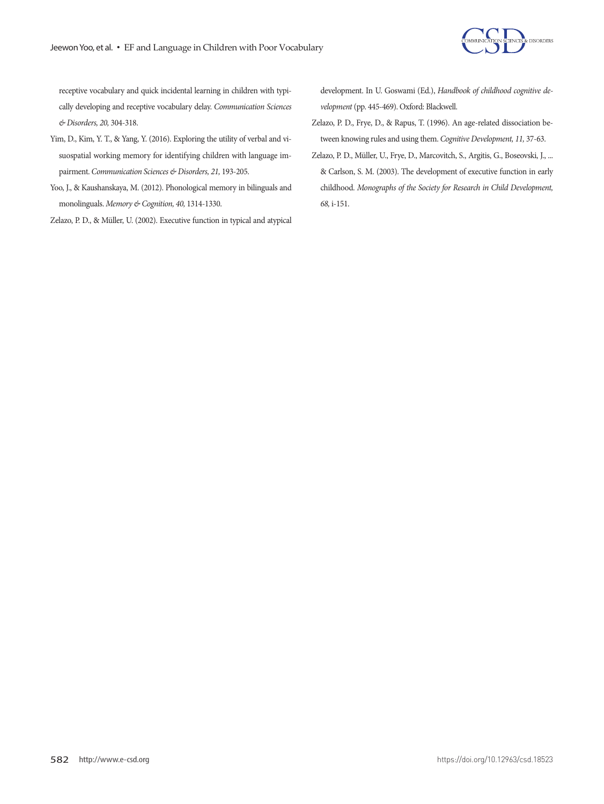

receptive vocabulary and quick incidental learning in children with typically developing and receptive vocabulary delay. *Communication Sciences & Disorders, 20,* 304-318.

- Yim, D., Kim, Y. T., & Yang, Y. (2016). Exploring the utility of verbal and visuospatial working memory for identifying children with language impairment. *Communication Sciences & Disorders, 21,* 193-205.
- Yoo, J., & Kaushanskaya, M. (2012). Phonological memory in bilinguals and monolinguals. *Memory & Cognition, 40,* 1314-1330.

Zelazo, P. D., & Müller, U. (2002). Executive function in typical and atypical

development. In U. Goswami (Ed.), *Handbook of childhood cognitive development* (pp. 445-469). Oxford: Blackwell.

- Zelazo, P. D., Frye, D., & Rapus, T. (1996). An age-related dissociation between knowing rules and using them. *Cognitive Development, 11,* 37-63.
- Zelazo, P. D., Müller, U., Frye, D., Marcovitch, S., Argitis, G., Boseovski, J., ... & Carlson, S. M. (2003). The development of executive function in early childhood. *Monographs of the Society for Research in Child Development, 68,* i-151.